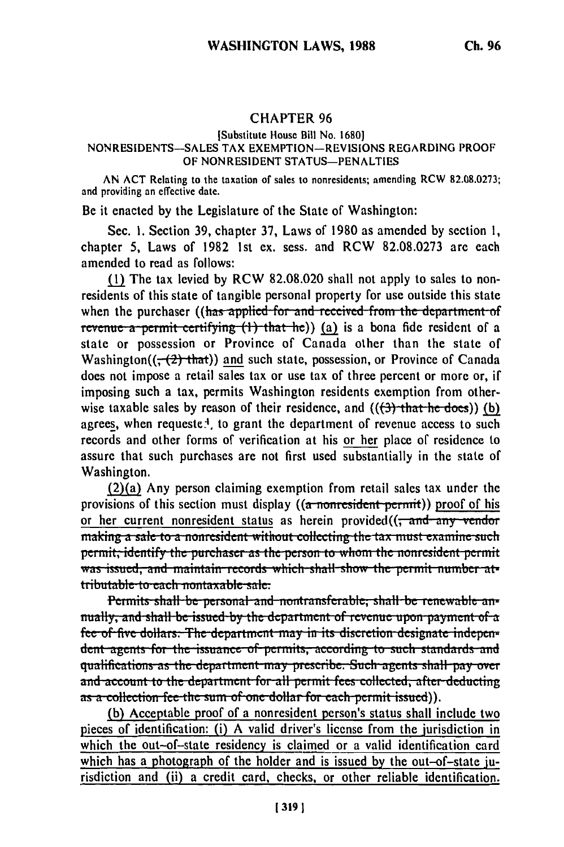## CHAPTER **96**

## [Substitute House Bill No. **1680] NONRESIDENTS-SALES** TAX **EXEMPTION-REVISIONS** REGARDING PROOF OF **NONRESIDENT STATUS-PENALTIES**

**AN ACT** Relating to the taxation of sales to nonresidents; amending RCW **82.08.0273;** and providing an effective date.

Be it enacted **by** the Legislature of the State of Washington:

Sec. **1.** Section **39,** chapter **37,** Laws of **1980** as amended **by** section **1,** chapter 5, Laws of **1982 1st** ex. sess. and RCW **82.08.0273** are each amended to read as follows:

**(1M** The tax levied **by** RCW **82.08.020** shall not apply to sales to nonresidents of this state of tangible personal property for use outside this state when the purchaser ((has applied for and received from the department of revenue a permit certifying (1) that he)) (a) is a bona fide resident of a state or possession or Province of Canada other than the state of Washington( $(-2)$  that)) and such state, possession, or Province of Canada does not impose a retail sales tax or use tax of three percent or more or, if imposing such a tax, permits Washington residents exemption from otherwise taxable sales by reason of their residence, and **(((3)** that he does)) **(b)** agrees, when requeste.<sup>1</sup> to grant the department of revenue access to such records and other forms of verification at his or her place of residence to assure that such purchases are not first used substantially in the state of Washington.

(2)(a) Any person claiming exemption from retail sales tax under the provisions of this section must display ((a nonresident permit)) proof of his or her current nonresident status as herein provided $((\frac{1}{2}and - any - vendor))$ making a sale to a nonresident without collecting the tax must examine such **permit, identify the purchaser as the person to whom the nonresident permit** was issued, and maintain records which shall show the permit number at-<br>tributable to each nontaxable sale.

Permits shall be personal and nontransferable, shall be renewable annually, and shall be issued by the department of revenue upon payment of a fee of five dollars. The department may in its discretion designate independent agents for the issuance of permits, according to such standards and<br>qualifications as the department may prescribe. Such agents shall pay over and account to the department for all permit fees collected, after deducting as a collection fee the sum of one dollar for each permit issued)).

**(b)** Acceptable proof of a nonresident person's status shall include two pieces of identification: (i) **A** valid driver's license from the jurisdiction in which the out-of-state residency is claimed or a valid identification card which has a photograph of the holder and is issued **by** the out-of-state jurisdiction and (ii) a credit card, checks, or other reliable identification.